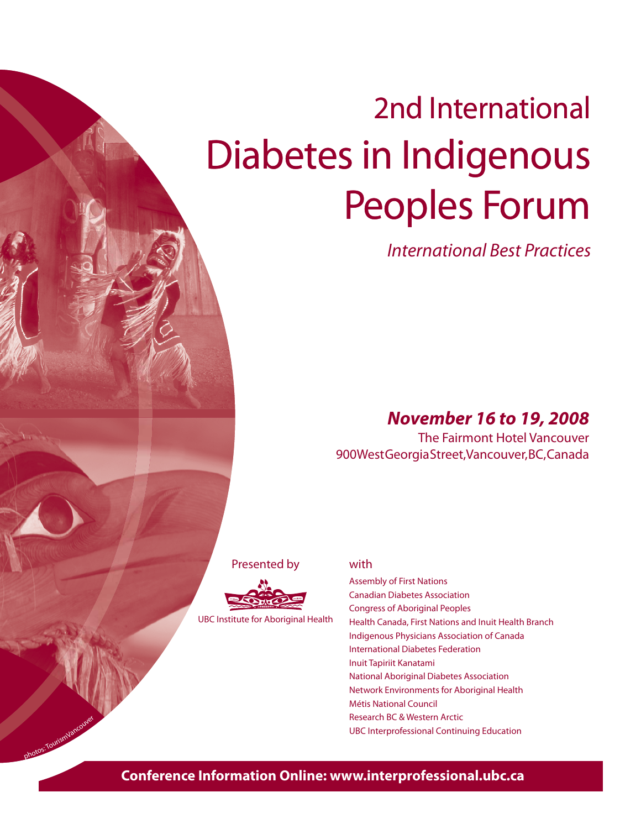# 2nd International Diabetes in Indigenous Peoples Forum

International Best Practices

### *November 16 to 19, 2008*

The Fairmont Hotel Vancouver 900 West Georgia Street, Vancouver, BC, Canada

Presented by



UBC Institute for Aboriginal Health

photos: TourismVancouver

#### with

Assembly of First Nations Canadian Diabetes Association Congress of Aboriginal Peoples Health Canada, First Nations and Inuit Health Branch Indigenous Physicians Association of Canada International Diabetes Federation Inuit Tapiriit Kanatami National Aboriginal Diabetes Association Network Environments for Aboriginal Health Métis National Council Research BC & Western Arctic UBC Interprofessional Continuing Education

### **Conference Information Online: www.interprofessional.ubc.ca**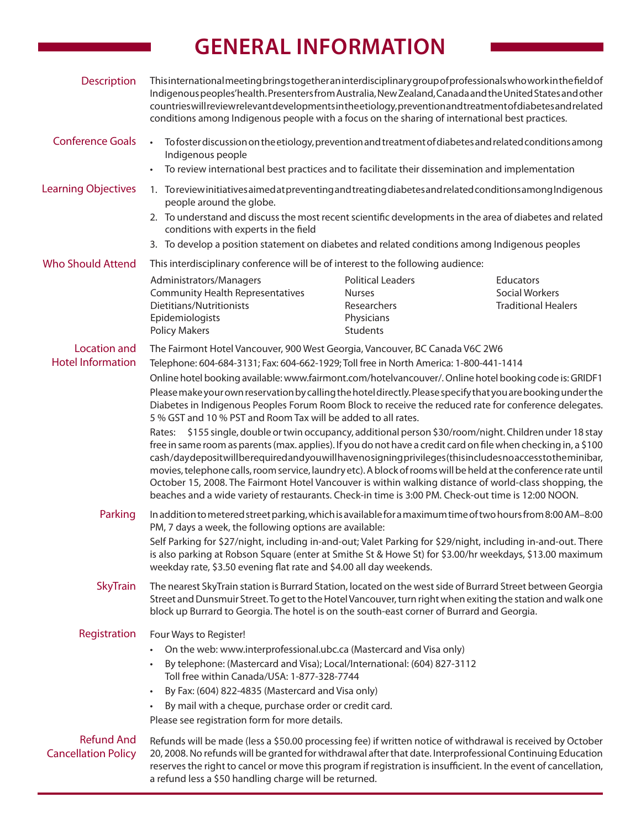# **GENERAL INFORMATION**

| <b>Description</b>                              | This international meeting brings together an interdisciplinary group of professionals who work in the field of<br>Indigenous peoples' health. Presenters from Australia, New Zealand, Canada and the United States and other<br>countries will review relevant developments in the etiology, prevention and treatment of diabetes and related<br>conditions among Indigenous people with a focus on the sharing of international best practices.                                                                                                                           |                                                                                                   |                                                                  |
|-------------------------------------------------|-----------------------------------------------------------------------------------------------------------------------------------------------------------------------------------------------------------------------------------------------------------------------------------------------------------------------------------------------------------------------------------------------------------------------------------------------------------------------------------------------------------------------------------------------------------------------------|---------------------------------------------------------------------------------------------------|------------------------------------------------------------------|
| <b>Conference Goals</b>                         | To foster discussion on the etiology, prevention and treatment of diabetes and related conditions among<br>$\bullet$<br>Indigenous people<br>To review international best practices and to facilitate their dissemination and implementation<br>$\bullet$                                                                                                                                                                                                                                                                                                                   |                                                                                                   |                                                                  |
|                                                 |                                                                                                                                                                                                                                                                                                                                                                                                                                                                                                                                                                             |                                                                                                   |                                                                  |
| <b>Learning Objectives</b>                      | 1. Toreviewinitiativesaimedat preventing and treating diabetes and related conditions among Indigenous<br>people around the globe.<br>2. To understand and discuss the most recent scientific developments in the area of diabetes and related                                                                                                                                                                                                                                                                                                                              |                                                                                                   |                                                                  |
|                                                 | conditions with experts in the field<br>3. To develop a position statement on diabetes and related conditions among Indigenous peoples                                                                                                                                                                                                                                                                                                                                                                                                                                      |                                                                                                   |                                                                  |
| <b>Who Should Attend</b>                        | This interdisciplinary conference will be of interest to the following audience:                                                                                                                                                                                                                                                                                                                                                                                                                                                                                            |                                                                                                   |                                                                  |
|                                                 | Administrators/Managers<br><b>Community Health Representatives</b><br>Dietitians/Nutritionists<br>Epidemiologists<br><b>Policy Makers</b>                                                                                                                                                                                                                                                                                                                                                                                                                                   | <b>Political Leaders</b><br><b>Nurses</b><br>Researchers<br>Physicians<br>Students                | Educators<br><b>Social Workers</b><br><b>Traditional Healers</b> |
| <b>Location and</b><br><b>Hotel Information</b> | The Fairmont Hotel Vancouver, 900 West Georgia, Vancouver, BC Canada V6C 2W6<br>Telephone: 604-684-3131; Fax: 604-662-1929; Toll free in North America: 1-800-441-1414<br>Online hotel booking available: www.fairmont.com/hotelvancouver/. Online hotel booking code is: GRIDF1<br>Please make your own reservation by calling the hotel directly. Please specify that you are booking under the<br>Diabetes in Indigenous Peoples Forum Room Block to receive the reduced rate for conference delegates.<br>5 % GST and 10 % PST and Room Tax will be added to all rates. |                                                                                                   |                                                                  |
|                                                 | Rates:<br>free in same room as parents (max. applies). If you do not have a credit card on file when checking in, a \$100<br>cash/daydepositwillberequiredandyouwillhavenosigningprivileges(thisincludesnoaccesstotheminibar,<br>movies, telephone calls, room service, laundry etc). A block of rooms will be held at the conference rate until<br>October 15, 2008. The Fairmont Hotel Vancouver is within walking distance of world-class shopping, the<br>beaches and a wide variety of restaurants. Check-in time is 3:00 PM. Check-out time is 12:00 NOON.            | \$155 single, double or twin occupancy, additional person \$30/room/night. Children under 18 stay |                                                                  |
| Parking                                         | In addition to metered street parking, which is available for a maximum time of two hours from 8:00 AM-8:00<br>PM, 7 days a week, the following options are available:<br>Self Parking for \$27/night, including in-and-out; Valet Parking for \$29/night, including in-and-out. There<br>is also parking at Robson Square (enter at Smithe St & Howe St) for \$3.00/hr weekdays, \$13.00 maximum<br>weekday rate, \$3.50 evening flat rate and \$4.00 all day weekends.                                                                                                    |                                                                                                   |                                                                  |
| <b>SkyTrain</b>                                 | The nearest SkyTrain station is Burrard Station, located on the west side of Burrard Street between Georgia<br>Street and Dunsmuir Street. To get to the Hotel Vancouver, turn right when exiting the station and walk one<br>block up Burrard to Georgia. The hotel is on the south-east corner of Burrard and Georgia.                                                                                                                                                                                                                                                    |                                                                                                   |                                                                  |
| Registration                                    | Four Ways to Register!<br>On the web: www.interprofessional.ubc.ca (Mastercard and Visa only)<br>By telephone: (Mastercard and Visa); Local/International: (604) 827-3112<br>$\bullet$<br>Toll free within Canada/USA: 1-877-328-7744<br>By Fax: (604) 822-4835 (Mastercard and Visa only)<br>$\bullet$<br>By mail with a cheque, purchase order or credit card.<br>Please see registration form for more details.                                                                                                                                                          |                                                                                                   |                                                                  |
| <b>Refund And</b><br><b>Cancellation Policy</b> | Refunds will be made (less a \$50.00 processing fee) if written notice of withdrawal is received by October<br>20, 2008. No refunds will be granted for withdrawal after that date. Interprofessional Continuing Education<br>reserves the right to cancel or move this program if registration is insufficient. In the event of cancellation,<br>a refund less a \$50 handling charge will be returned.                                                                                                                                                                    |                                                                                                   |                                                                  |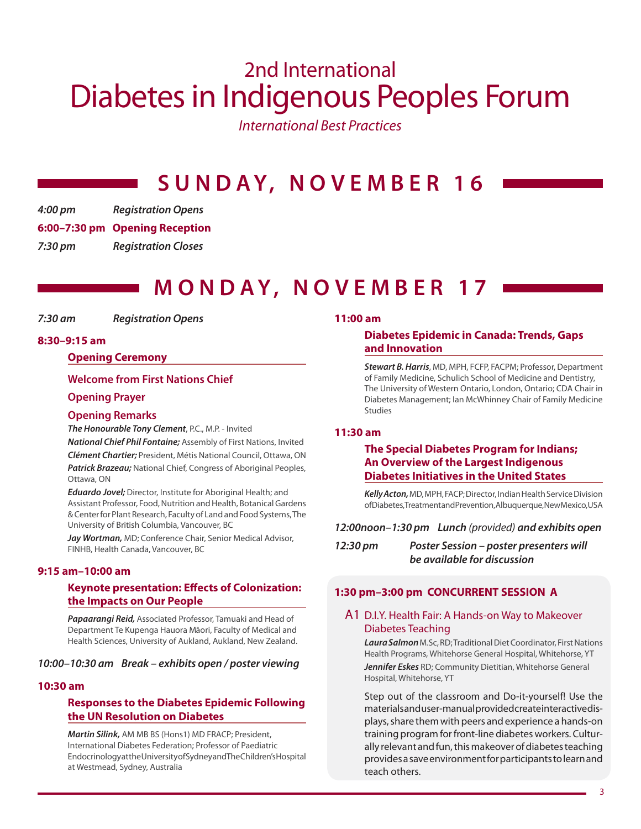# 2nd International Diabetes in Indigenous Peoples Forum

International Best Practices

# **S U N D A Y, N O V E M B E R 1 6**

*4:00 pm Registration Opens* **6:00–7:30 pm Opening Reception** *7:30 pm Registration Closes*

### **M O N DAY, N O V E M B E R 17**

*7:30 am Registration Opens*

#### **8:30–9:15 am**

#### **Opening Ceremony**

#### **Welcome from First Nations Chief**

#### **Opening Prayer**

#### **Opening Remarks**

*The Honourable Tony Clement*, P.C., M.P. - Invited

*National Chief Phil Fontaine;* Assembly of First Nations, Invited *Clément Chartier;* President, Métis National Council, Ottawa, ON *Patrick Brazeau;* National Chief, Congress of Aboriginal Peoples, Ottawa, ON

*Eduardo Jovel;* Director, Institute for Aboriginal Health; and Assistant Professor, Food, Nutrition and Health, Botanical Gardens & Center for Plant Research, Faculty of Land and Food Systems, The University of British Columbia, Vancouver, BC

*Jay Wortman,* MD; Conference Chair, Senior Medical Advisor, FINHB, Health Canada, Vancouver, BC

#### **9:15 am–10:00 am**

#### **Keynote presentation: Effects of Colonization: the Impacts on Our People**

*Papaarangi Reid,* Associated Professor, Tamuaki and Head of Department Te Kupenga Hauora Māori, Faculty of Medical and Health Sciences, University of Aukland, Aukland, New Zealand.

#### *10:00–10:30 am Break – exhibits open / poster viewing*

#### **10:30 am**

#### **Responses to the Diabetes Epidemic Following the UN Resolution on Diabetes**

*Martin Silink,* AM MB BS (Hons1) MD FRACP; President, International Diabetes Federation; Professor of Paediatric Endocrinology at the University of Sydney and The Children's Hospital at Westmead, Sydney, Australia

#### **11:00 am**

#### **Diabetes Epidemic in Canada: Trends, Gaps and Innovation**

*Stewart B. Harris*, MD, MPH, FCFP, FACPM; Professor, Department of Family Medicine, Schulich School of Medicine and Dentistry, The University of Western Ontario, London, Ontario; CDA Chair in Diabetes Management; Ian McWhinney Chair of Family Medicine **Studies** 

#### **11:30 am**

#### **The Special Diabetes Program for Indians; An Overview of the Largest Indigenous Diabetes Initiatives in the United States**

*Kelly Acton,* MD, MPH, FACP; Director, Indian Health Service Division of Diabetes, Treatment and Prevention, Albuquerque, New Mexico, USA

#### *12:00noon–1:30 pm Lunch* (provided) *and exhibits open*

| 12:30 pm | <b>Poster Session - poster presenters will</b> |
|----------|------------------------------------------------|
|          | be available for discussion                    |

#### **1:30 pm–3:00 pm CONCURRENT SESSION A**

#### A1 D.I.Y. Health Fair: A Hands-on Way to Makeover Diabetes Teaching

*Laura Salmon* M.Sc, RD; Traditional Diet Coordinator, First Nations Health Programs, Whitehorse General Hospital, Whitehorse, YT *Jennifer Eskes* RD; Community Dietitian, Whitehorse General Hospital, Whitehorse, YT

Step out of the classroom and Do-it-yourself! Use the materials and user-manual provided create interactive displays, share them with peers and experience a hands-on training program for front-line diabetes workers. Culturally relevant and fun, this makeover of diabetes teaching provides a save environment for participants to learn and teach others.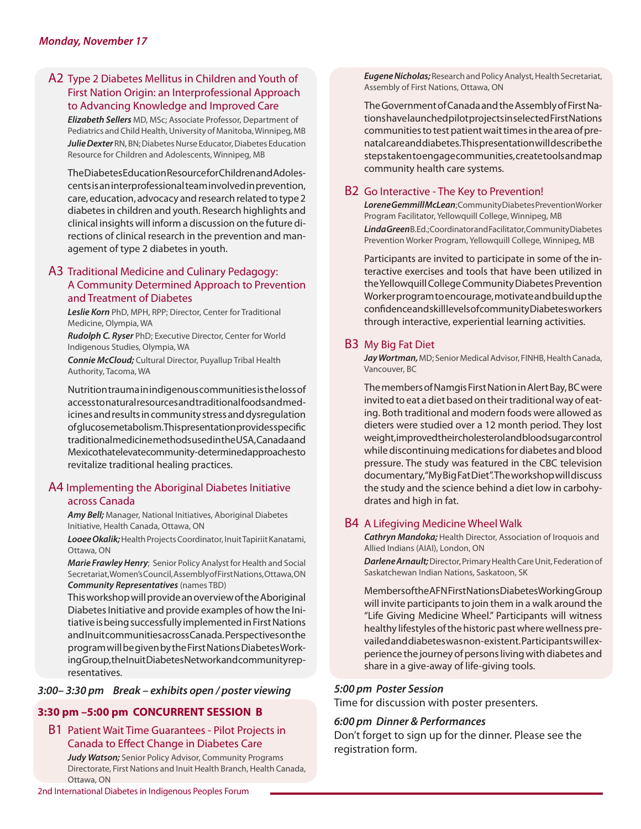#### A2 Type 2 Diabetes Mellitus in Children and Youth of First Nation Origin: an Interprofessional Approach to Advancing Knowledge and Improved Care

*Elizabeth Sellers* MD, MSc; Associate Professor, Department of Pediatrics and Child Health, University of Manitoba, Winnipeg, MB *Julie Dexter* RN, BN; Diabetes Nurse Educator, Diabetes Education Resource for Children and Adolescents, Winnipeg, MB

The Diabetes Education Resource for Children and Adolescents is an interprofessional team involved in prevention, care, education, advocacy and research related to type 2 diabetes in children and youth. Research highlights and clinical insights will inform a discussion on the future directions of clinical research in the prevention and management of type 2 diabetes in youth.

#### A3 Traditional Medicine and Culinary Pedagogy: A Community Determined Approach to Prevention and Treatment of Diabetes

*Leslie Korn* PhD, MPH, RPP; Director, Center for Traditional Medicine, Olympia, WA

*Rudolph C. Ryser* PhD; Executive Director, Center for World Indigenous Studies, Olympia, WA

*Connie McCloud;* Cultural Director, Puyallup Tribal Health Authority, Tacoma, WA

Nutrition trauma in indigenous communities is the loss of access to natural resources and traditional foods and medicines and results in community stress and dysregulation of glucose metabolism. This presentation provides specific traditional medicine methods used in the USA, Canada and Mexico that elevate community-determined approaches to revitalize traditional healing practices.

#### A4 Implementing the Aboriginal Diabetes Initiative across Canada

*Amy Bell;* Manager, National Initiatives, Aboriginal Diabetes Initiative, Health Canada, Ottawa, ON

*Looee Okalik;* Health Projects Coordinator, Inuit Tapiriit Kanatami, Ottawa, ON

*Marie Frawley Henry*; Senior Policy Analyst for Health and Social Secretariat, Women's Council, Assembly of First Nations, Ottawa, ON *Community Representatives* (names TBD)

This workshop will provide an overview of the Aboriginal Diabetes Initiative and provide examples of how the Initiative is being successfully implemented in First Nations and Inuit communities across Canada. Perspectives on the program will be given by the First Nations Diabetes Working Group, the Inuit Diabetes Network and community representatives.

#### *3:00– 3:30 pm Break – exhibits open / poster viewing*

#### **3:30 pm –5:00 pm CONCURRENT SESSION B**

B1 Patient Wait Time Guarantees - Pilot Projects in Canada to Effect Change in Diabetes Care

*Judy Watson;* Senior Policy Advisor, Community Programs Directorate, First Nations and Inuit Health Branch, Health Canada, Ottawa, ON

*Eugene Nicholas;* Research and Policy Analyst, Health Secretariat, Assembly of First Nations, Ottawa, ON

The Government of Canada and the Assembly of First Nations have launched pilot projects in selected First Nations communities to test patient wait times in the area of prenatal care and diabetes. This presentation will describe the steps taken to engage communities, create tools and map community health care systems.

#### B2 Go Interactive - The Key to Prevention!

*Lorene Gemmill McLean*; Community Diabetes Prevention Worker Program Facilitator, Yellowquill College, Winnipeg, MB *Linda Green* B.Ed.; Coordinator and Facilitator, Community Diabetes Prevention Worker Program, Yellowquill College, Winnipeg, MB

Participants are invited to participate in some of the interactive exercises and tools that have been utilized in the Yellowquill College Community Diabetes Prevention Worker program to encourage, motivate and build up the confidence and skill levels of community Diabetes workers through interactive, experiential learning activities.

#### B3 My Big Fat Diet

*Jay Wortman,* MD; Senior Medical Advisor, FINHB, Health Canada, Vancouver, BC

The members of Namgis First Nation in Alert Bay, BC were invited to eat a diet based on their traditional way of eating. Both traditional and modern foods were allowed as dieters were studied over a 12 month period. They lost weight, improved their cholesterol and blood sugar control while discontinuing medications for diabetes and blood pressure. The study was featured in the CBC television documentary, "My Big Fat Diet". The workshop will discuss the study and the science behind a diet low in carbohydrates and high in fat.

#### B4 A Lifegiving Medicine Wheel Walk

*Cathryn Mandoka;* Health Director, Association of Iroquois and Allied Indians (AIAI), London, ON

*Darlene Arnault;* Director, Primary Health Care Unit, Federation of Saskatchewan Indian Nations, Saskatoon, SK

Members of the AFN First Nations Diabetes Working Group will invite participants to join them in a walk around the "Life Giving Medicine Wheel." Participants will witness healthy lifestyles of the historic past where wellness prevailed and diabetes was non-existent. Participants will experience the journey of persons living with diabetes and share in a give-away of life-giving tools.

#### *5:00 pm Poster Session*

Time for discussion with poster presenters.

#### *6:00 pm Dinner & Performances*

Don't forget to sign up for the dinner. Please see the registration form.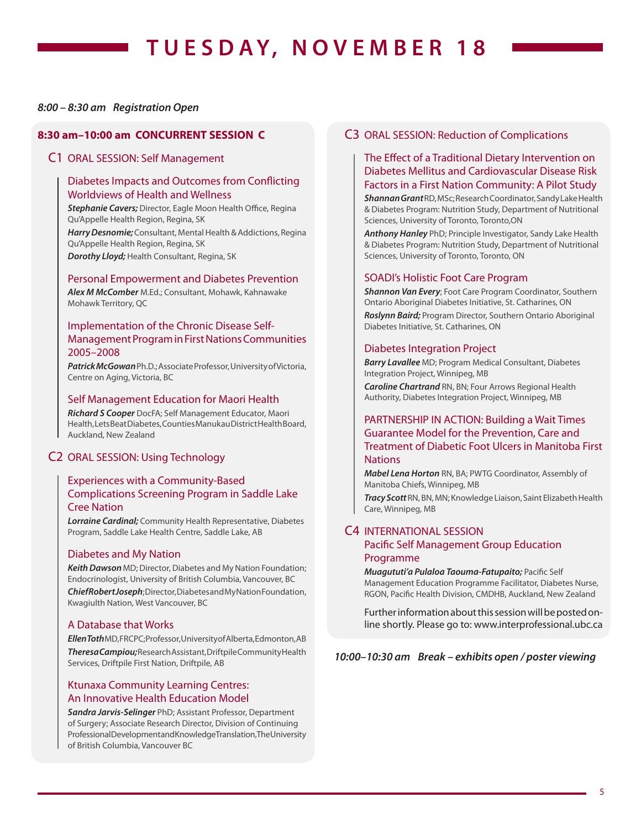# **T U E S DAY, N O V E M B E R 18**

#### *8:00 – 8:30 am Registration Open*

#### **8:30 am–10:00 am CONCURRENT SESSION C**

#### C1 ORAL SESSION: Self Management

#### Diabetes Impacts and Outcomes from Conflicting Worldviews of Health and Wellness

Stephanie Cavers; Director, Eagle Moon Health Office, Regina Qu'Appelle Health Region, Regina, SK

*Harry Desnomie;* Consultant, Mental Health & Addictions, Regina Qu'Appelle Health Region, Regina, SK

*Dorothy Lloyd;* Health Consultant, Regina, SK

#### Personal Empowerment and Diabetes Prevention

*Alex M McComber* M.Ed.; Consultant, Mohawk, Kahnawake Mohawk Territory, QC

#### Implementation of the Chronic Disease Self-Management Program in First Nations Communities 2005–2008

*Patrick McGowan* Ph.D.; Associate Professor, University of Victoria, Centre on Aging, Victoria, BC

#### Self Management Education for Maori Health

*Richard S Cooper* DocFA; Self Management Educator, Maori Health, Lets Beat Diabetes, Counties Manukau District Health Board, Auckland, New Zealand

#### C2 ORAL SESSION: Using Technology

#### Experiences with a Community-Based Complications Screening Program in Saddle Lake Cree Nation

*Lorraine Cardinal;* Community Health Representative, Diabetes Program, Saddle Lake Health Centre, Saddle Lake, AB

#### Diabetes and My Nation

*Keith Dawson* MD; Director, Diabetes and My Nation Foundation; Endocrinologist, University of British Columbia, Vancouver, BC *Chief Robert Joseph*; Director, Diabetes and My Nation Foundation, Kwagiulth Nation, West Vancouver, BC

#### A Database that Works

*Ellen Toth* MD, FRCPC; Professor, University of Alberta, Edmonton, AB *Theresa Campiou;* Research Assistant, Driftpile Community Health Services, Driftpile First Nation, Driftpile, AB

#### Ktunaxa Community Learning Centres: An Innovative Health Education Model

*Sandra Jarvis-Selinger* PhD; Assistant Professor, Department of Surgery; Associate Research Director, Division of Continuing Professional Development and Knowledge Translation, The University of British Columbia, Vancouver BC

#### C3 ORAL SESSION: Reduction of Complications

#### The Effect of a Traditional Dietary Intervention on Diabetes Mellitus and Cardiovascular Disease Risk Factors in a First Nation Community: A Pilot Study

*Shannan Grant* RD, MSc; Research Coordinator, Sandy Lake Health & Diabetes Program: Nutrition Study, Department of Nutritional Sciences, University of Toronto, Toronto,ON

*Anthony Hanley* PhD; Principle Investigator, Sandy Lake Health & Diabetes Program: Nutrition Study, Department of Nutritional Sciences, University of Toronto, Toronto, ON

#### SOADI's Holistic Foot Care Program

*Shannon Van Every*; Foot Care Program Coordinator, Southern Ontario Aboriginal Diabetes Initiative, St. Catharines, ON

*Roslynn Baird;* Program Director, Southern Ontario Aboriginal Diabetes Initiative, St. Catharines, ON

#### Diabetes Integration Project

*Barry Lavallee* MD; Program Medical Consultant, Diabetes Integration Project, Winnipeg, MB

*Caroline Chartrand* RN, BN; Four Arrows Regional Health Authority, Diabetes Integration Project, Winnipeg, MB

#### PARTNERSHIP IN ACTION: Building a Wait Times Guarantee Model for the Prevention, Care and Treatment of Diabetic Foot Ulcers in Manitoba First **Nations**

*Mabel Lena Horton* RN, BA; PWTG Coordinator, Assembly of Manitoba Chiefs, Winnipeg, MB

*Tracy Scott* RN, BN, MN; Knowledge Liaison, Saint Elizabeth Health Care, Winnipeg, MB

### C4 INTERNATIONAL SESSION

#### Pacific Self Management Group Education Programme

*Muagututi'a Pulaloa Taouma-Fatupaito; Pacific Self* Management Education Programme Facilitator, Diabetes Nurse, RGON, Pacific Health Division, CMDHB, Auckland, New Zealand

Further information about this session will be posted online shortly. Please go to: www.interprofessional.ubc.ca

*10:00–10:30 am Break – exhibits open / poster viewing*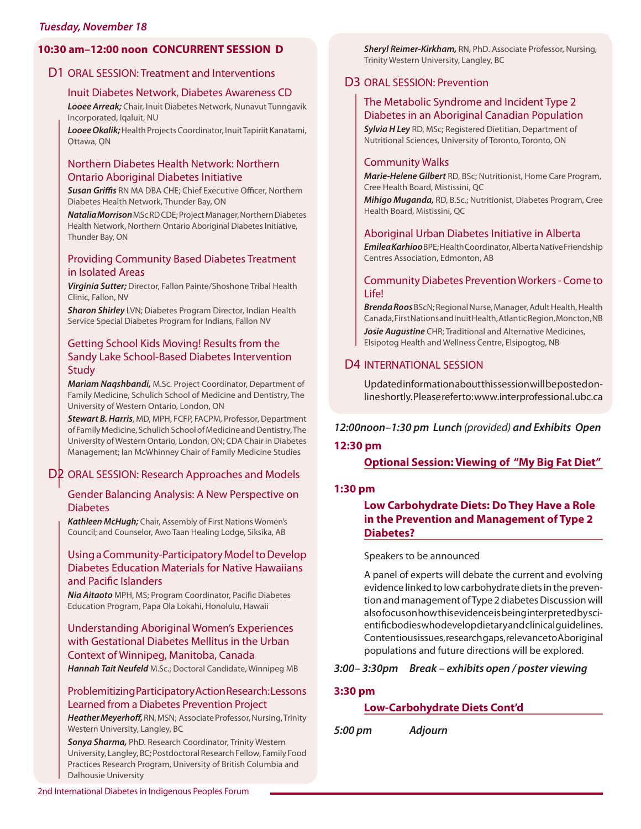#### *Tuesday, November 18*

#### **10:30 am–12:00 noon CONCURRENT SESSION D**

#### D1 ORAL SESSION: Treatment and Interventions

#### Inuit Diabetes Network, Diabetes Awareness CD

*Looee Arreak;* Chair, Inuit Diabetes Network, Nunavut Tunngavik Incorporated, Iqaluit, NU

*Looee Okalik;* Health Projects Coordinator, Inuit Tapiriit Kanatami, Ottawa, ON

#### Northern Diabetes Health Network: Northern Ontario Aboriginal Diabetes Initiative

**Susan Griffis** RN MA DBA CHE; Chief Executive Officer, Northern Diabetes Health Network, Thunder Bay, ON

*Natalia Morrison* MSc RD CDE; Project Manager, Northern Diabetes Health Network, Northern Ontario Aboriginal Diabetes Initiative, Thunder Bay, ON

#### Providing Community Based Diabetes Treatment in Isolated Areas

*Virginia Sutter;* Director, Fallon Painte/Shoshone Tribal Health Clinic, Fallon, NV

*Sharon Shirley* LVN; Diabetes Program Director, Indian Health Service Special Diabetes Program for Indians, Fallon NV

#### Getting School Kids Moving! Results from the Sandy Lake School-Based Diabetes Intervention **Study**

*Mariam Naqshbandi,* M.Sc. Project Coordinator, Department of Family Medicine, Schulich School of Medicine and Dentistry, The University of Western Ontario, London, ON

*Stewart B. Harris*, MD, MPH, FCFP, FACPM, Professor, Department of Family Medicine, Schulich School of Medicine and Dentistry, The University of Western Ontario, London, ON; CDA Chair in Diabetes Management; Ian McWhinney Chair of Family Medicine Studies

#### D2 ORAL SESSION: Research Approaches and Models

#### Gender Balancing Analysis: A New Perspective on Diabetes

*Kathleen McHugh;* Chair, Assembly of First Nations Women's Council; and Counselor, Awo Taan Healing Lodge, Siksika, AB

#### Using a Community-Participatory Model to Develop Diabetes Education Materials for Native Hawaiians and Pacific Islanders

**Nia Aitaoto** MPH, MS; Program Coordinator, Pacific Diabetes Education Program, Papa Ola Lokahi, Honolulu, Hawaii

#### Understanding Aboriginal Women's Experiences with Gestational Diabetes Mellitus in the Urban Context of Winnipeg, Manitoba, Canada

*Hannah Tait Neufeld* M.Sc.; Doctoral Candidate, Winnipeg MB

#### Problemitizing Participatory Action Research: Lessons Learned from a Diabetes Prevention Project

Heather Meyerhoff, RN, MSN; Associate Professor, Nursing, Trinity Western University, Langley, BC

*Sonya Sharma,* PhD. Research Coordinator, Trinity Western University, Langley, BC; Postdoctoral Research Fellow, Family Food Practices Research Program, University of British Columbia and Dalhousie University

*Sheryl Reimer-Kirkham,* RN, PhD. Associate Professor, Nursing, Trinity Western University, Langley, BC

#### D3 ORAL SESSION: Prevention

#### The Metabolic Syndrome and Incident Type 2 Diabetes in an Aboriginal Canadian Population

*Sylvia H Ley* RD, MSc; Registered Dietitian, Department of Nutritional Sciences, University of Toronto, Toronto, ON

#### Community Walks

*Marie-Helene Gilbert* RD, BSc; Nutritionist, Home Care Program, Cree Health Board, Mistissini, QC

*Mihigo Muganda,* RD, B.Sc.; Nutritionist, Diabetes Program, Cree Health Board, Mistissini, QC

#### Aboriginal Urban Diabetes Initiative in Alberta

*Emilea Karhioo* BPE; Health Coordinator, Alberta Native Friendship Centres Association, Edmonton, AB

#### Community Diabetes Prevention Workers - Come to Life!

*Brenda Roos* BScN; Regional Nurse, Manager, Adult Health, Health Canada, First Nations and Inuit Health, Atlantic Region, Moncton, NB *Josie Augustine* CHR; Traditional and Alternative Medicines, Elsipotog Health and Wellness Centre, Elsipogtog, NB

#### D4 INTERNATIONAL SESSION

Updated information about this session will be posted online shortly. Please refer to: www.interprofessional.ubc.ca

#### *12:00noon–1:30 pm Lunch* (provided) *and Exhibits Open*

#### **12:30 pm**

**Optional Session: Viewing of "My Big Fat Diet"**

#### **1:30 pm**

#### **Low Carbohydrate Diets: Do They Have a Role in the Prevention and Management of Type 2 Diabetes?**

#### Speakers to be announced

A panel of experts will debate the current and evolving evidence linked to low carbohydrate diets in the prevention and management of Type 2 diabetes Discussion will also focus on how this evidence is being interpreted by scientific bodies who develop dietary and clinical guidelines. Contentious issues, research gaps, relevance to Aboriginal populations and future directions will be explored.

#### *3:00– 3:30pm Break – exhibits open / poster viewing*

#### **3:30 pm**

#### **Low-Carbohydrate Diets Cont'd**

*5:00 pm Adjourn*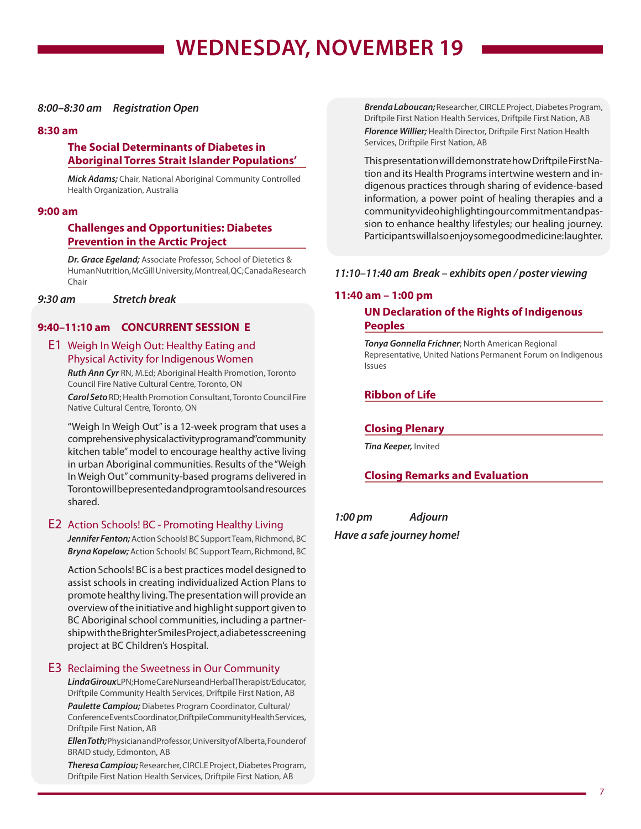#### *8:00–8:30 am Registration Open*

#### **8:30 am**

#### **The Social Determinants of Diabetes in Aboriginal Torres Strait Islander Populations'**

*Mick Adams;* Chair, National Aboriginal Community Controlled Health Organization, Australia

#### **9:00 am**

#### **Challenges and Opportunities: Diabetes Prevention in the Arctic Project**

*Dr. Grace Egeland;* Associate Professor, School of Dietetics & Human Nutrition, McGill University, Montreal, QC; Canada Research Chair

*9:30 am Stretch break* 

#### **9:40–11:10 am CONCURRENT SESSION E**

#### E1 Weigh In Weigh Out: Healthy Eating and Physical Activity for Indigenous Women

*Ruth Ann Cyr* RN, M.Ed; Aboriginal Health Promotion, Toronto Council Fire Native Cultural Centre, Toronto, ON

*Carol Seto* RD; Health Promotion Consultant, Toronto Council Fire Native Cultural Centre, Toronto, ON

"Weigh In Weigh Out" is a 12-week program that uses a comprehensive physical activity program and "community kitchen table" model to encourage healthy active living in urban Aboriginal communities. Results of the "Weigh In Weigh Out" community-based programs delivered in Toronto will be presented and program tools and resources shared.

#### E2 Action Schools! BC - Promoting Healthy Living

*Jennifer Fenton;* Action Schools! BC Support Team, Richmond, BC *Bryna Kopelow;* Action Schools! BC Support Team, Richmond, BC

Action Schools! BC is a best practices model designed to assist schools in creating individualized Action Plans to promote healthy living. The presentation will provide an overview of the initiative and highlight support given to BC Aboriginal school communities, including a partnership with the Brighter Smiles Project, a diabetes screening project at BC Children's Hospital.

#### E3 Reclaiming the Sweetness in Our Community

*Linda Giroux* LPN; Home Care Nurse and Herbal Therapist/Educator, Driftpile Community Health Services, Driftpile First Nation, AB

*Paulette Campiou;* Diabetes Program Coordinator, Cultural/ Conference Events Coordinator, Driftpile Community Health Services, Driftpile First Nation, AB

*Ellen Toth;* Physician and Professor, University of Alberta, Founder of BRAID study, Edmonton, AB

*Theresa Campiou;* Researcher, CIRCLE Project, Diabetes Program, Driftpile First Nation Health Services, Driftpile First Nation, AB

*Brenda Laboucan;* Researcher, CIRCLE Project, Diabetes Program, Driftpile First Nation Health Services, Driftpile First Nation, AB *Florence Willier;* Health Director, Driftpile First Nation Health Services, Driftpile First Nation, AB

This presentation will demonstrate how Driftpile First Nation and its Health Programs intertwine western and indigenous practices through sharing of evidence-based information, a power point of healing therapies and a community video highlighting our commitment and passion to enhance healthy lifestyles; our healing journey. Participants will also enjoy some good medicine: laughter.

#### *11:10–11:40 am Break – exhibits open / poster viewing*

#### **11:40 am – 1:00 pm**

#### **UN Declaration of the Rights of Indigenous Peoples**

*Tonya Gonnella Frichner*; North American Regional Representative, United Nations Permanent Forum on Indigenous Issues

#### **Ribbon of Life**

#### **Closing Plenary**

*Tina Keeper,* Invited

#### **Closing Remarks and Evaluation**

*1:00 pm Adjourn Have a safe journey home!*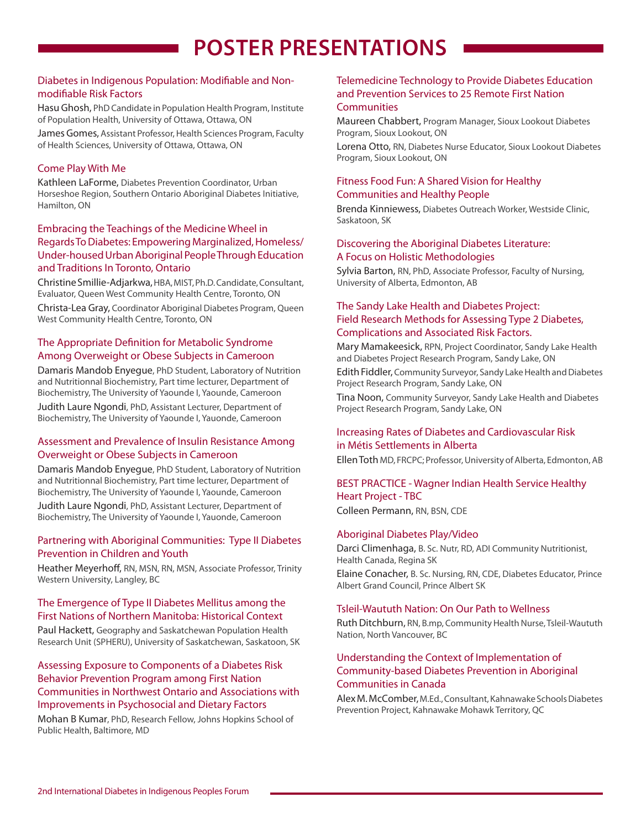# **POSTER PRESENTATIONS**

#### Diabetes in Indigenous Population: Modifiable and Nonmodifiable Risk Factors

Hasu Ghosh, PhD Candidate in Population Health Program, Institute of Population Health, University of Ottawa, Ottawa, ON

James Gomes, Assistant Professor, Health Sciences Program, Faculty of Health Sciences, University of Ottawa, Ottawa, ON

#### Come Play With Me

Kathleen LaForme, Diabetes Prevention Coordinator, Urban Horseshoe Region, Southern Ontario Aboriginal Diabetes Initiative, Hamilton, ON

#### Embracing the Teachings of the Medicine Wheel in Regards To Diabetes: Empowering Marginalized, Homeless/ Under-housed Urban Aboriginal People Through Education and Traditions In Toronto, Ontario

Christine Smillie-Adjarkwa, HBA, MIST, Ph.D. Candidate, Consultant, Evaluator, Queen West Community Health Centre, Toronto, ON

Christa-Lea Gray, Coordinator Aboriginal Diabetes Program, Queen West Community Health Centre, Toronto, ON

#### The Appropriate Definition for Metabolic Syndrome Among Overweight or Obese Subjects in Cameroon

Damaris Mandob Enyegue, PhD Student, Laboratory of Nutrition and Nutritionnal Biochemistry, Part time lecturer, Department of Biochemistry, The University of Yaounde I, Yaounde, Cameroon Judith Laure Ngondi, PhD, Assistant Lecturer, Department of Biochemistry, The University of Yaounde I, Yauonde, Cameroon

#### Assessment and Prevalence of Insulin Resistance Among Overweight or Obese Subjects in Cameroon

Damaris Mandob Enyegue, PhD Student, Laboratory of Nutrition and Nutritionnal Biochemistry, Part time lecturer, Department of Biochemistry, The University of Yaounde I, Yaounde, Cameroon Judith Laure Ngondi, PhD, Assistant Lecturer, Department of Biochemistry, The University of Yaounde I, Yauonde, Cameroon

#### Partnering with Aboriginal Communities: Type II Diabetes Prevention in Children and Youth

Heather Meyerhoff, RN, MSN, RN, MSN, Associate Professor, Trinity Western University, Langley, BC

#### The Emergence of Type II Diabetes Mellitus among the First Nations of Northern Manitoba: Historical Context

Paul Hackett, Geography and Saskatchewan Population Health Research Unit (SPHERU), University of Saskatchewan, Saskatoon, SK

#### Assessing Exposure to Components of a Diabetes Risk Behavior Prevention Program among First Nation Communities in Northwest Ontario and Associations with Improvements in Psychosocial and Dietary Factors

Mohan B Kumar, PhD, Research Fellow, Johns Hopkins School of Public Health, Baltimore, MD

#### Telemedicine Technology to Provide Diabetes Education and Prevention Services to 25 Remote First Nation **Communities**

Maureen Chabbert, Program Manager, Sioux Lookout Diabetes Program, Sioux Lookout, ON

Lorena Otto, RN, Diabetes Nurse Educator, Sioux Lookout Diabetes Program, Sioux Lookout, ON

#### Fitness Food Fun: A Shared Vision for Healthy Communities and Healthy People

Brenda Kinniewess, Diabetes Outreach Worker, Westside Clinic, Saskatoon, SK

#### Discovering the Aboriginal Diabetes Literature: A Focus on Holistic Methodologies

Sylvia Barton, RN, PhD, Associate Professor, Faculty of Nursing, University of Alberta, Edmonton, AB

#### The Sandy Lake Health and Diabetes Project: Field Research Methods for Assessing Type 2 Diabetes, Complications and Associated Risk Factors.

Mary Mamakeesick, RPN, Project Coordinator, Sandy Lake Health and Diabetes Project Research Program, Sandy Lake, ON

Edith Fiddler, Community Surveyor, Sandy Lake Health and Diabetes Project Research Program, Sandy Lake, ON

Tina Noon, Community Surveyor, Sandy Lake Health and Diabetes Project Research Program, Sandy Lake, ON

#### Increasing Rates of Diabetes and Cardiovascular Risk in Métis Settlements in Alberta

Ellen Toth MD, FRCPC; Professor, University of Alberta, Edmonton, AB

#### BEST PRACTICE - Wagner Indian Health Service Healthy Heart Project - TBC

Colleen Permann, RN, BSN, CDE

#### Aboriginal Diabetes Play/Video

Albert Grand Council, Prince Albert SK

Darci Climenhaga, B. Sc. Nutr, RD, ADI Community Nutritionist, Health Canada, Regina SK Elaine Conacher, B. Sc. Nursing, RN, CDE, Diabetes Educator, Prince

#### Tsleil-Waututh Nation: On Our Path to Wellness

Ruth Ditchburn, RN, B.mp, Community Health Nurse, Tsleil-Waututh Nation, North Vancouver, BC

#### Understanding the Context of Implementation of Community-based Diabetes Prevention in Aboriginal Communities in Canada

Alex M.McComber, M.Ed., Consultant, Kahnawake Schools Diabetes Prevention Project, Kahnawake Mohawk Territory, QC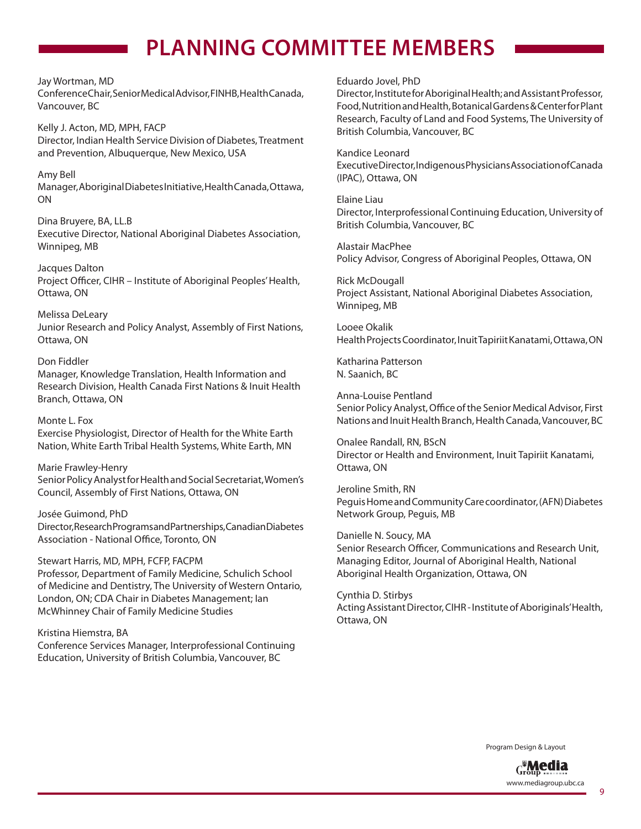# **PLANNING COMMITTEE MEMBERS**

#### Jay Wortman, MD

Conference Chair, Senior Medical Advisor, FINHB, Health Canada, Vancouver, BC

Kelly J. Acton, MD, MPH, FACP Director, Indian Health Service Division of Diabetes, Treatment and Prevention, Albuquerque, New Mexico, USA

### Amy Bell

Manager, Aboriginal Diabetes Initiative, Health Canada, Ottawa, ON

Dina Bruyere, BA, LL.B Executive Director, National Aboriginal Diabetes Association, Winnipeg, MB

Jacques Dalton Project Officer, CIHR - Institute of Aboriginal Peoples' Health, Ottawa, ON

Melissa DeLeary Junior Research and Policy Analyst, Assembly of First Nations, Ottawa, ON

#### Don Fiddler

Manager, Knowledge Translation, Health Information and Research Division, Health Canada First Nations & Inuit Health Branch, Ottawa, ON

Monte L. Fox Exercise Physiologist, Director of Health for the White Earth Nation, White Earth Tribal Health Systems, White Earth, MN

Marie Frawley-Henry Senior Policy Analyst for Health and Social Secretariat, Women's Council, Assembly of First Nations, Ottawa, ON

Josée Guimond, PhD Director, Research Programs and Partnerships, Canadian Diabetes Association - National Office, Toronto, ON

#### Stewart Harris, MD, MPH, FCFP, FACPM

Professor, Department of Family Medicine, Schulich School of Medicine and Dentistry, The University of Western Ontario, London, ON; CDA Chair in Diabetes Management; Ian McWhinney Chair of Family Medicine Studies

Kristina Hiemstra, BA Conference Services Manager, Interprofessional Continuing Education, University of British Columbia, Vancouver, BC

#### Eduardo Jovel, PhD

Director, Institute for Aboriginal Health; and Assistant Professor, Food, Nutrition and Health, Botanical Gardens & Center for Plant Research, Faculty of Land and Food Systems, The University of British Columbia, Vancouver, BC

#### Kandice Leonard

Executive Director, Indigenous Physicians Association of Canada (IPAC), Ottawa, ON

Elaine Liau Director, Interprofessional Continuing Education, University of British Columbia, Vancouver, BC

Alastair MacPhee Policy Advisor, Congress of Aboriginal Peoples, Ottawa, ON

Rick McDougall Project Assistant, National Aboriginal Diabetes Association, Winnipeg, MB

Looee Okalik Health Projects Coordinator, Inuit Tapiriit Kanatami, Ottawa, ON

Katharina Patterson N. Saanich, BC

Anna-Louise Pentland Senior Policy Analyst, Office of the Senior Medical Advisor, First Nations and Inuit Health Branch, Health Canada, Vancouver, BC

Onalee Randall, RN, BScN Director or Health and Environment, Inuit Tapiriit Kanatami, Ottawa, ON

Jeroline Smith, RN Peguis Home and Community Care coordinator, (AFN) Diabetes Network Group, Peguis, MB

Danielle N. Soucy, MA Senior Research Officer, Communications and Research Unit, Managing Editor, Journal of Aboriginal Health, National Aboriginal Health Organization, Ottawa, ON

Cynthia D. Stirbys Acting Assistant Director, CIHR - Institute of Aboriginals' Health, Ottawa, ON

Program Design & Layout

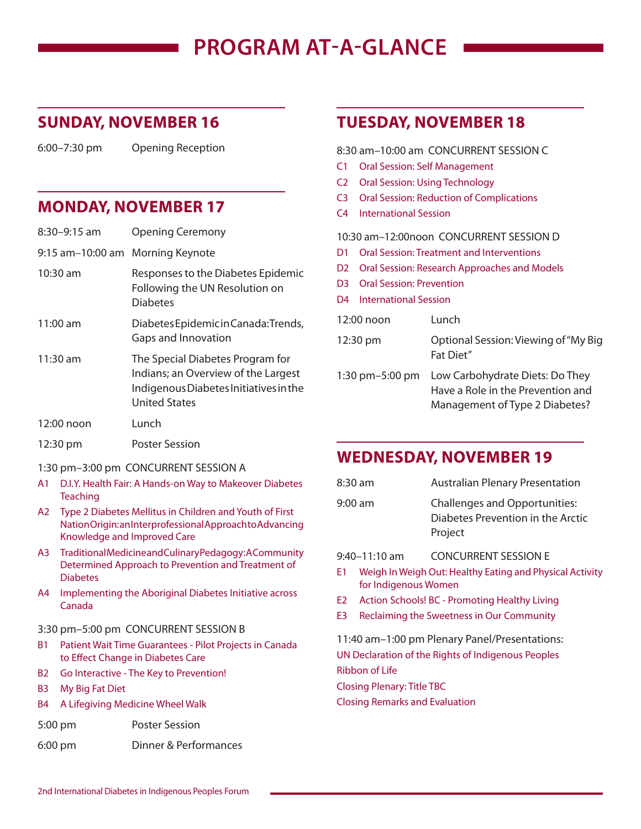# **PROGRAM AT-A-GLANCE**

### **SUNDAY, NOVEMBER 16**

6:00–7:30 pm Opening Reception

### **MONDAY, NOVEMBER 17**

| 8:30-9:15 am                     | <b>Opening Ceremony</b>                                                                                                                   |
|----------------------------------|-------------------------------------------------------------------------------------------------------------------------------------------|
| 9:15 am-10:00 am Morning Keynote |                                                                                                                                           |
| 10:30 am                         | Responses to the Diabetes Epidemic<br>Following the UN Resolution on<br><b>Diabetes</b>                                                   |
| $11:00$ am                       | Diabetes Epidemic in Canada: Trends,<br>Gaps and Innovation                                                                               |
| $11:30$ am                       | The Special Diabetes Program for<br>Indians; an Overview of the Largest<br>Indigenous Diabetes Initiatives in the<br><b>United States</b> |
| 12:00 noon                       | Lunch                                                                                                                                     |
| 12:30 pm                         | <b>Poster Session</b>                                                                                                                     |

- 1:30 pm–3:00 pm CONCURRENT SESSION A
- A1 D.I.Y. Health Fair: A Hands-on Way to Makeover Diabetes Teaching
- A2 Type 2 Diabetes Mellitus in Children and Youth of First Nation Origin: an Interprofessional Approach to Advancing Knowledge and Improved Care
- A3 Traditional Medicine and Culinary Pedagogy: A Community Determined Approach to Prevention and Treatment of Diabetes
- A4 Implementing the Aboriginal Diabetes Initiative across Canada

#### 3:30 pm–5:00 pm CONCURRENT SESSION B

- B1 Patient Wait Time Guarantees Pilot Projects in Canada to Effect Change in Diabetes Care
- B2 Go Interactive The Key to Prevention!
- B3 My Big Fat Diet
- B4 A Lifegiving Medicine Wheel Walk
- 5:00 pm Poster Session
- 6:00 pm Dinner & Performances

### **TUESDAY, NOVEMBER 18**

8:30 am–10:00 am CONCURRENT SESSION C

- C1 Oral Session: Self Management
- C2 Oral Session: Using Technology
- C3 Oral Session: Reduction of Complications
- C4 International Session

#### 10:30 am–12:00noon CONCURRENT SESSION D

- D1 Oral Session: Treatment and Interventions
- D2 Oral Session: Research Approaches and Models
- D3 Oral Session: Prevention
- D4 International Session

| 12:00 noon         | Lunch                                                                                                  |
|--------------------|--------------------------------------------------------------------------------------------------------|
| 12:30 pm           | Optional Session: Viewing of "My Big"<br>Fat Diet"                                                     |
| 1:30 pm $-5:00$ pm | Low Carbohydrate Diets: Do They<br>Have a Role in the Prevention and<br>Management of Type 2 Diabetes? |

### **WEDNESDAY, NOVEMBER 19**

| $8:30$ am | <b>Australian Plenary Presentation</b>                                               |
|-----------|--------------------------------------------------------------------------------------|
| $9:00$ am | <b>Challenges and Opportunities:</b><br>Diabetes Prevention in the Arctic<br>Project |

9:40–11:10 am CONCURRENT SESSION E

- E1 Weigh In Weigh Out: Healthy Eating and Physical Activity for Indigenous Women
- E2 Action Schools! BC Promoting Healthy Living
- E3 Reclaiming the Sweetness in Our Community

11:40 am–1:00 pm Plenary Panel/Presentations: UN Declaration of the Rights of Indigenous Peoples Ribbon of Life

Closing Plenary: Title TBC

Closing Remarks and Evaluation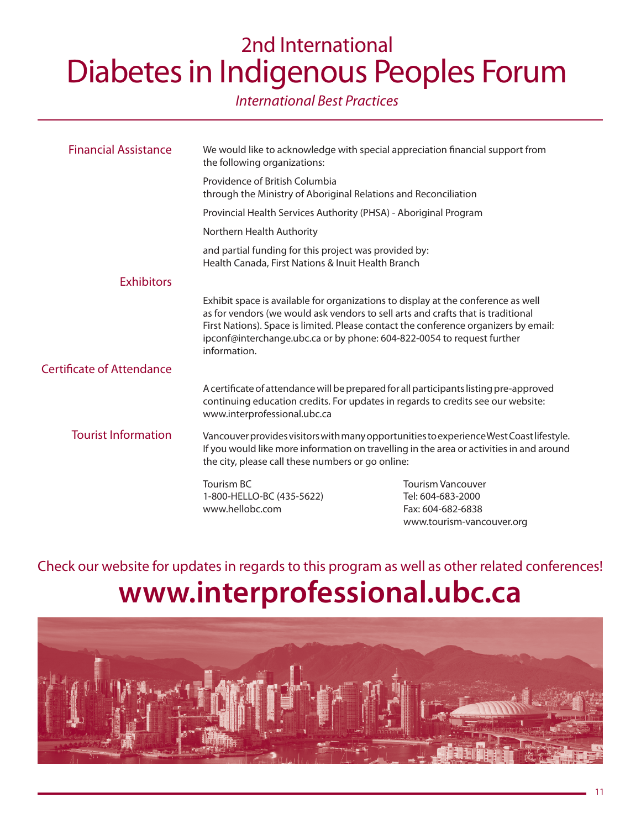# 2nd International Diabetes in Indigenous Peoples Forum

### International Best Practices

| <b>Financial Assistance</b>      | We would like to acknowledge with special appreciation financial support from<br>the following organizations:                                                                                                                            |                                                                                                                                                                                                                                                               |
|----------------------------------|------------------------------------------------------------------------------------------------------------------------------------------------------------------------------------------------------------------------------------------|---------------------------------------------------------------------------------------------------------------------------------------------------------------------------------------------------------------------------------------------------------------|
|                                  | Providence of British Columbia<br>through the Ministry of Aboriginal Relations and Reconciliation                                                                                                                                        |                                                                                                                                                                                                                                                               |
|                                  | Provincial Health Services Authority (PHSA) - Aboriginal Program                                                                                                                                                                         |                                                                                                                                                                                                                                                               |
|                                  | Northern Health Authority                                                                                                                                                                                                                |                                                                                                                                                                                                                                                               |
|                                  | and partial funding for this project was provided by:<br>Health Canada, First Nations & Inuit Health Branch                                                                                                                              |                                                                                                                                                                                                                                                               |
| <b>Exhibitors</b>                |                                                                                                                                                                                                                                          |                                                                                                                                                                                                                                                               |
|                                  | ipconf@interchange.ubc.ca or by phone: 604-822-0054 to request further<br>information.                                                                                                                                                   | Exhibit space is available for organizations to display at the conference as well<br>as for vendors (we would ask vendors to sell arts and crafts that is traditional<br>First Nations). Space is limited. Please contact the conference organizers by email: |
| <b>Certificate of Attendance</b> |                                                                                                                                                                                                                                          |                                                                                                                                                                                                                                                               |
|                                  | A certificate of attendance will be prepared for all participants listing pre-approved<br>continuing education credits. For updates in regards to credits see our website:<br>www.interprofessional.ubc.ca                               |                                                                                                                                                                                                                                                               |
| <b>Tourist Information</b>       | Vancouver provides visitors with many opportunities to experience West Coast lifestyle.<br>If you would like more information on travelling in the area or activities in and around<br>the city, please call these numbers or go online: |                                                                                                                                                                                                                                                               |
|                                  | Tourism BC<br>1-800-HELLO-BC (435-5622)<br>www.hellobc.com                                                                                                                                                                               | <b>Tourism Vancouver</b><br>Tel: 604-683-2000<br>Fax: 604-682-6838<br>www.tourism-vancouver.org                                                                                                                                                               |

Check our website for updates in regards to this program as well as other related conferences! **www.interprofessional.ubc.ca**